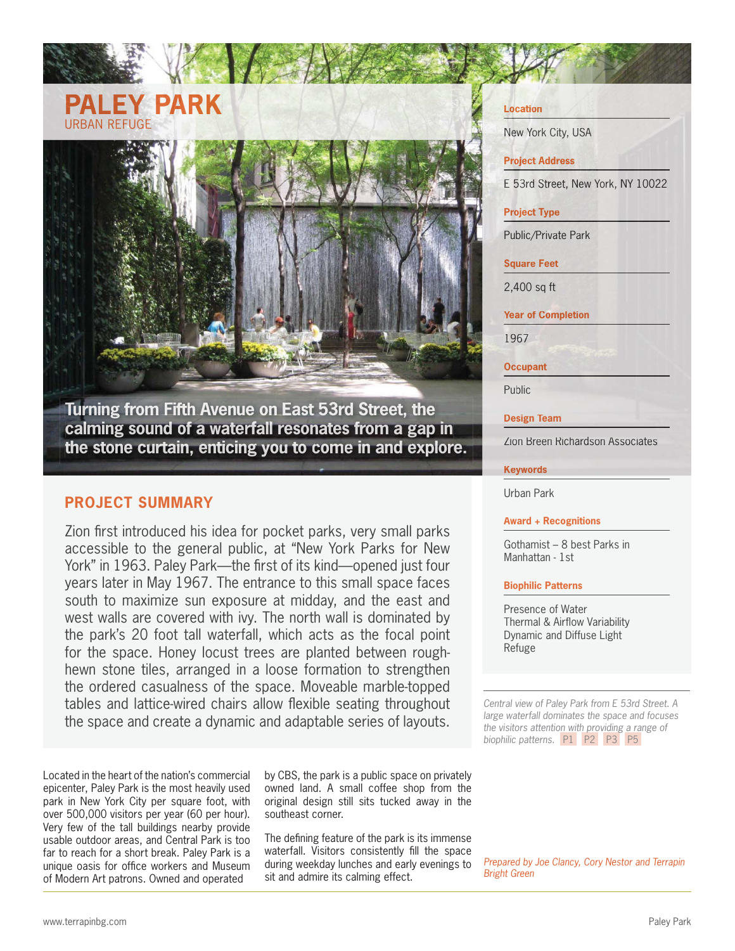# **PALEY PARK** URBAN REFUGE

**Turning from Fifth Avenue on East 53rd Street, the calming sound of a waterfall resonates from a gap in the stone curtain, enticing you to come in and explore.**

# **PROJECT SUMMARY**

Zion first introduced his idea for pocket parks, very small parks accessible to the general public, at "New York Parks for New York" in 1963. Paley Park—the first of its kind—opened just four years later in May 1967. The entrance to this small space faces south to maximize sun exposure at midday, and the east and west walls are covered with ivy. The north wall is dominated by the park's 20 foot tall waterfall, which acts as the focal point for the space. Honey locust trees are planted between roughhewn stone tiles, arranged in a loose formation to strengthen the ordered casualness of the space. Moveable marble-topped tables and lattice-wired chairs allow flexible seating throughout the space and create a dynamic and adaptable series of layouts.

Located in the heart of the nation's commercial epicenter, Paley Park is the most heavily used park in New York City per square foot, with over 500,000 visitors per year (60 per hour). Very few of the tall buildings nearby provide usable outdoor areas, and Central Park is too far to reach for a short break. Paley Park is a unique oasis for office workers and Museum of Modern Art patrons. Owned and operated

by CBS, the park is a public space on privately owned land. A small coffee shop from the original design still sits tucked away in the southeast corner.

The defining feature of the park is its immense waterfall. Visitors consistently fill the space during weekday lunches and early evenings to sit and admire its calming effect.

### **Location**

New York City, USA

# **Project Address**

E53rd Street, New York, NY 10022

# **Project Type**

Public/Private Park

### **Square Feet**

2,400 sq ft

**Year of Completion**

1967

**Occupant**

Public

**Design Team**

Zion Breen Richardson Associates

### **Keywords**

Urban Park

### **Award + Recognitions**

Gothamist – 8 best Parks in Manhattan - 1st

### **Biophilic Patterns**

Presence of Water Thermal & Airflow Variability Dynamic and Diffuse Light Refuge

*Central view of Paley Park from E 53rd Street. A large waterfall dominates the space and focuses the visitors attention with providing a range of biophilic patterns.* P1 P2 P3 P5

*Prepared by Joe Clancy, Cory Nestor and Terrapin Bright Green*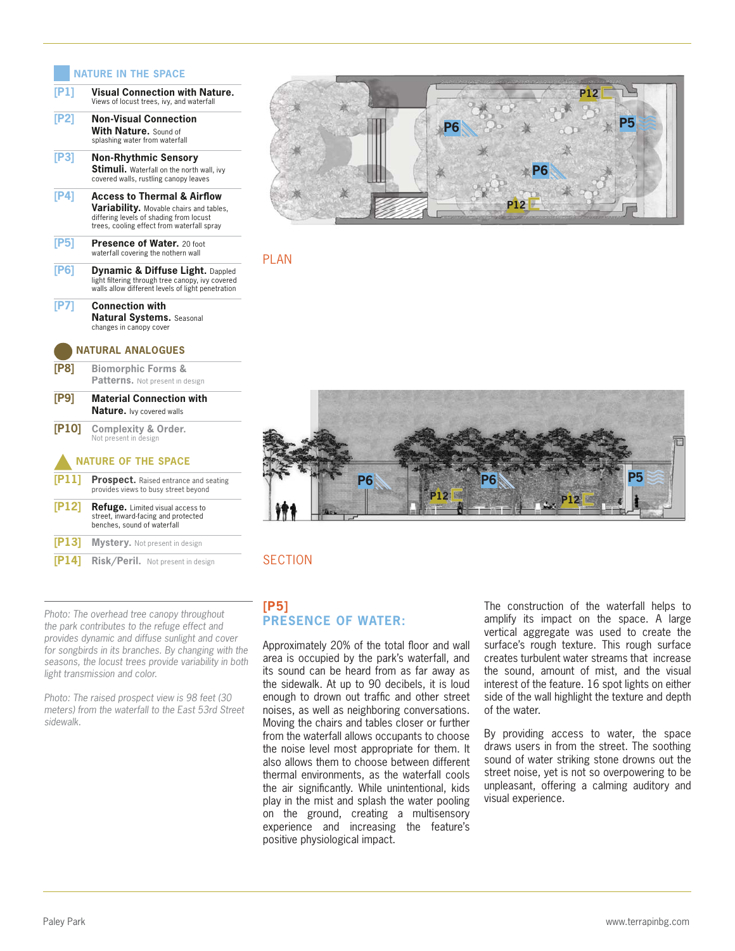# **NATURE IN THE SPACE**

| [P1]                     | Visual Connection with Nature.<br>Views of locust trees, ivy, and waterfall                                                                                            |
|--------------------------|------------------------------------------------------------------------------------------------------------------------------------------------------------------------|
| [P2]                     | <b>Non-Visual Connection</b><br>With Nature. Sound of<br>splashing water from waterfall                                                                                |
| [P3]                     | <b>Non-Rhythmic Sensory</b><br><b>Stimuli.</b> Waterfall on the north wall, ivy<br>covered walls, rustling canopy leaves                                               |
| [P4]                     | Access to Thermal & Airflow<br><b>Variability.</b> Movable chairs and tables,<br>differing levels of shading from locust<br>trees, cooling effect from waterfall spray |
| [PS]                     | Presence of Water. 20 foot<br>waterfall covering the nothern wall                                                                                                      |
| [P6]                     | Dynamic & Diffuse Light. Dappled<br>light filtering through tree canopy, ivy covered<br>walls allow different levels of light penetration                              |
| [P7]                     | <b>Connection with</b><br><b>Natural Systems. Seasonal</b><br>changes in canopy cover                                                                                  |
| <b>NATURAL ANALOGUES</b> |                                                                                                                                                                        |
| [PS]                     | <b>Biomorphic Forms &amp;</b><br>Patterns. Not present in design                                                                                                       |
| [P9]                     | <b>Material Connection with</b><br><b>Nature.</b> Ivy covered walls                                                                                                    |
| [P10]                    | <b>Complexity &amp; Order.</b><br>Not present in design                                                                                                                |
|                          | <b>NATURE OF THE SPACE</b>                                                                                                                                             |
| $[$ P11]                 | <b>Prospect.</b> Raised entrance and seating<br>provides views to busy street beyond                                                                                   |
| [P12]                    | Refuge. Limited visual access to<br>street, inward-facing and protected<br>benches, sound of waterfall                                                                 |
| [P13]                    | <b>Mystery.</b> Not present in design                                                                                                                                  |
|                          |                                                                                                                                                                        |

*Photo: The overhead tree canopy throughout the park contributes to the refuge effect and provides dynamic and diffuse sunlight and cover for songbirds in its branches. By changing with the seasons, the locust trees provide variability in both light transmission and color.* 

*Photo: The raised prospect view is 98 feet (30 meters) from the waterfall to the East 53rd Street sidewalk.* 



PLAN



# $SECTION$

**[P5] PRESENCE OF WATER:**

Approximately 20% of the total floor and wall area is occupied by the park's waterfall, and its sound can be heard from as far away as the sidewalk. At up to 90 decibels, it is loud enough to drown out traffic and other street noises, as well as neighboring conversations. Moving the chairs and tables closer or further from the waterfall allows occupants to choose the noise level most appropriate for them. It also allows them to choose between different thermal environments, as the waterfall cools the air significantly. While unintentional, kids play in the mist and splash the water pooling on the ground, creating a multisensory experience and increasing the feature's positive physiological impact.

The construction of the waterfall helps to amplify its impact on the space. A large vertical aggregate was used to create the surface's rough texture. This rough surface creates turbulent water streams that increase the sound, amount of mist, and the visual interest of the feature. 16 spot lights on either side of the wall highlight the texture and depth of the water.

By providing access to water, the space draws users in from the street. The soothing sound of water striking stone drowns out the street noise, yet is not so overpowering to be unpleasant, offering a calming auditory and visual experience.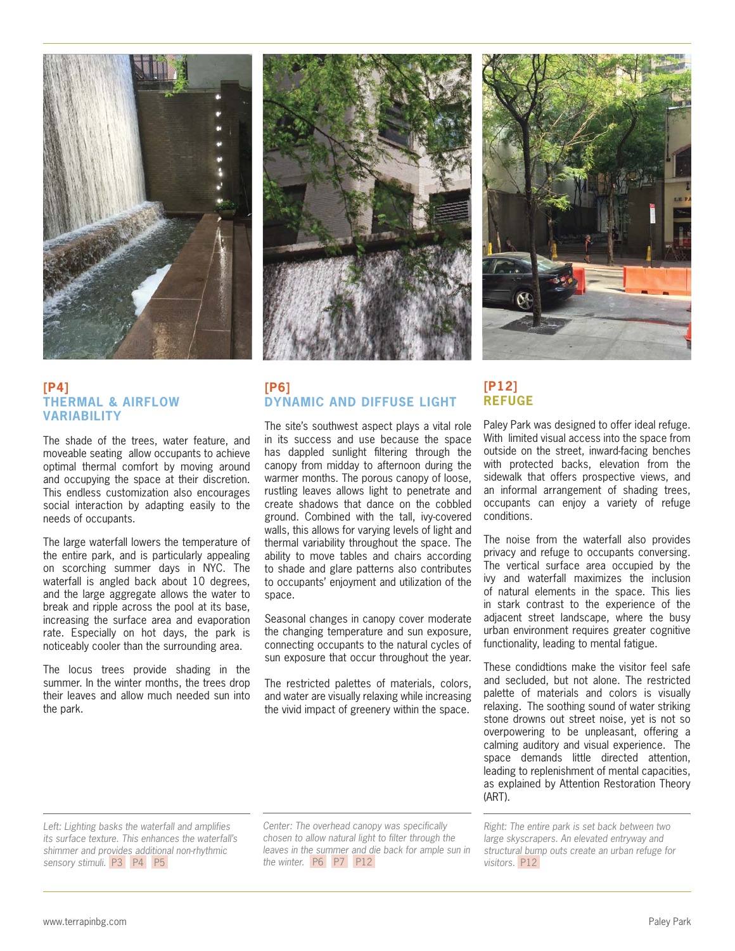

# **[P4] THERMAL & AIRFLOW VARIABILITY**

The shade of the trees, water feature, and moveable seating allow occupants to achieve optimal thermal comfort by moving around and occupying the space at their discretion. This endless customization also encourages social interaction by adapting easily to the needs of occupants.

The large waterfall lowers the temperature of the entire park, and is particularly appealing on scorching summer days in NYC. The waterfall is angled back about 10 degrees, and the large aggregate allows the water to break and ripple across the pool at its base, increasing the surface area and evaporation rate. Especially on hot days, the park is noticeably cooler than the surrounding area.

The locus trees provide shading in the summer. In the winter months, the trees drop their leaves and allow much needed sun into the park.



# **[P6] DYNAMIC AND DIFFUSE LIGHT**

The site's southwest aspect plays a vital role in its success and use because the space has dappled sunlight filtering through the canopy from midday to afternoon during the warmer months. The porous canopy of loose, rustling leaves allows light to penetrate and create shadows that dance on the cobbled ground. Combined with the tall, ivy-covered walls, this allows for varying levels of light and thermal variability throughout the space. The ability to move tables and chairs according to shade and glare patterns also contributes to occupants' enjoyment and utilization of the space.

Seasonal changes in canopy cover moderate the changing temperature and sun exposure, connecting occupants to the natural cycles of sun exposure that occur throughout the year.

The restricted palettes of materials, colors, and water are visually relaxing while increasing the vivid impact of greenery within the space.



# **[P12] REFUGE**

Paley Park was designed to offer ideal refuge. With limited visual access into the space from outside on the street, inward-facing benches with protected backs, elevation from the sidewalk that offers prospective views, and an informal arrangement of shading trees, occupants can enjoy a variety of refuge conditions.

The noise from the waterfall also provides privacy and refuge to occupants conversing. The vertical surface area occupied by the ivy and waterfall maximizes the inclusion of natural elements in the space. This lies in stark contrast to the experience of the adjacent street landscape, where the busy urban environment requires greater cognitive functionality, leading to mental fatigue.

These condidtions make the visitor feel safe and secluded, but not alone. The restricted palette of materials and colors is visually relaxing. The soothing sound of water striking stone drowns out street noise, yet is not so overpowering to be unpleasant, offering a calming auditory and visual experience. The space demands little directed attention, leading to replenishment of mental capacities, as explained by Attention Restoration Theory (ART).

*Left: Lighting basks the waterfall and amplifies its surface texture. This enhances the waterfall's shimmer and provides additional non-rhythmic sensory stimuli.* P3 P4 P5

*Center: The overhead canopy was specifically chosen to allow natural light to filter through the leaves in the summer and die back for ample sun in the winter.* P6 P7 P12

*Right: The entire park is set back between two large skyscrapers. An elevated entryway and structural bump outs create an urban refuge for visitors.* P12